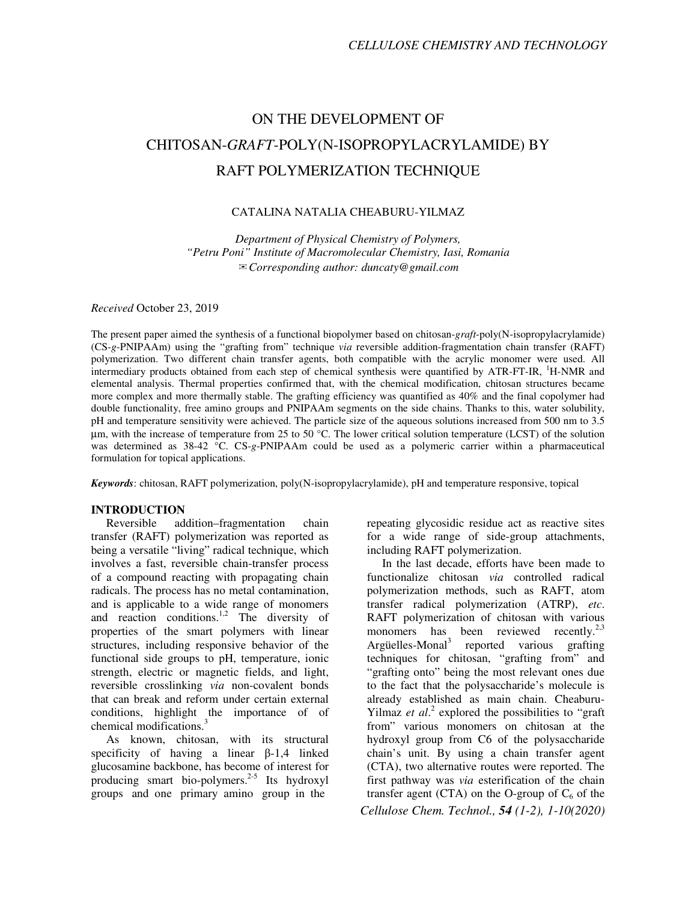# ON THE DEVELOPMENT OF CHITOSAN-*GRAFT*-POLY(N-ISOPROPYLACRYLAMIDE) BY RAFT POLYMERIZATION TECHNIQUE

# CATALINA NATALIA CHEABURU-YILMAZ

*Department of Physical Chemistry of Polymers, "Petru Poni" Institute of Macromolecular Chemistry, Iasi, Romania*  ✉*Corresponding author: duncaty@gmail.com* 

*Received* October 23, 2019

The present paper aimed the synthesis of a functional biopolymer based on chitosan-*graft*-poly(N-isopropylacrylamide) (CS-*g*-PNIPAAm) using the "grafting from" technique *via* reversible addition-fragmentation chain transfer (RAFT) polymerization. Two different chain transfer agents, both compatible with the acrylic monomer were used. All intermediary products obtained from each step of chemical synthesis were quantified by ATR-FT-IR, <sup>1</sup>H-NMR and elemental analysis. Thermal properties confirmed that, with the chemical modification, chitosan structures became more complex and more thermally stable. The grafting efficiency was quantified as 40% and the final copolymer had double functionality, free amino groups and PNIPAAm segments on the side chains. Thanks to this, water solubility, pH and temperature sensitivity were achieved. The particle size of the aqueous solutions increased from 500 nm to 3.5  $\mu$ m, with the increase of temperature from 25 to 50 °C. The lower critical solution temperature (LCST) of the solution was determined as 38-42 °C. CS-*g*-PNIPAAm could be used as a polymeric carrier within a pharmaceutical formulation for topical applications.

*Keywords*: chitosan, RAFT polymerization, poly(N-isopropylacrylamide), pH and temperature responsive, topical

# **INTRODUCTION**

Reversible addition–fragmentation chain transfer (RAFT) polymerization was reported as being a versatile "living" radical technique, which involves a fast, reversible chain-transfer process of a compound reacting with propagating chain radicals. The process has no metal contamination, and is applicable to a wide range of monomers and reaction conditions.<sup>1,2</sup> The diversity of properties of the smart polymers with linear structures, including responsive behavior of the functional side groups to pH, temperature, ionic strength, electric or magnetic fields, and light, reversible crosslinking *via* non-covalent bonds that can break and reform under certain external conditions, highlight the importance of of chemical modifications.<sup>3</sup>

As known, chitosan, with its structural specificity of having a linear β-1,4 linked glucosamine backbone, has become of interest for producing smart bio-polymers.<sup>2-5</sup> Its hydroxyl groups and one primary amino group in the

repeating glycosidic residue act as reactive sites for a wide range of side-group attachments, including RAFT polymerization.

*Cellulose Chem. Technol., 54 (1-2), 1-10(2020)* In the last decade, efforts have been made to functionalize chitosan *via* controlled radical polymerization methods, such as RAFT, atom transfer radical polymerization (ATRP), *etc*. RAFT polymerization of chitosan with various monomers has been reviewed recently.<sup>2,3</sup> Argüelles-Monal<sup>3</sup> reported various grafting techniques for chitosan, "grafting from" and "grafting onto" being the most relevant ones due to the fact that the polysaccharide's molecule is already established as main chain. Cheaburu-Yilmaz *et al.*<sup>2</sup> explored the possibilities to "graft" from" various monomers on chitosan at the hydroxyl group from C6 of the polysaccharide chain's unit. By using a chain transfer agent (CTA), two alternative routes were reported. The first pathway was *via* esterification of the chain transfer agent (CTA) on the O-group of  $C_6$  of the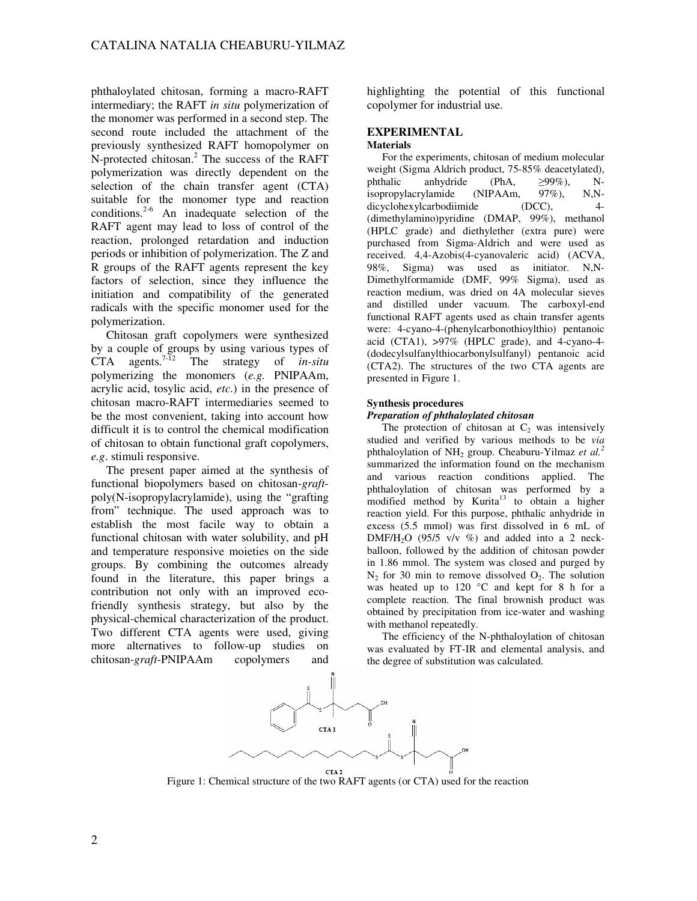phthaloylated chitosan, forming a macro-RAFT intermediary; the RAFT *in situ* polymerization of the monomer was performed in a second step. The second route included the attachment of the previously synthesized RAFT homopolymer on N-protected chitosan.<sup>2</sup> The success of the RAFT polymerization was directly dependent on the selection of the chain transfer agent (CTA) suitable for the monomer type and reaction conditions.<sup>2-6</sup> An inadequate selection of the RAFT agent may lead to loss of control of the reaction, prolonged retardation and induction periods or inhibition of polymerization. The Z and R groups of the RAFT agents represent the key factors of selection, since they influence the initiation and compatibility of the generated radicals with the specific monomer used for the polymerization.

Chitosan graft copolymers were synthesized by a couple of groups by using various types of CTA agents.7-12 The strategy of *in-situ* polymerizing the monomers (*e.g.* PNIPAAm, acrylic acid, tosylic acid, *etc*.) in the presence of chitosan macro-RAFT intermediaries seemed to be the most convenient, taking into account how difficult it is to control the chemical modification of chitosan to obtain functional graft copolymers, *e.g*. stimuli responsive.

The present paper aimed at the synthesis of functional biopolymers based on chitosan-*graft*poly(N-isopropylacrylamide), using the "grafting from" technique. The used approach was to establish the most facile way to obtain a functional chitosan with water solubility, and pH and temperature responsive moieties on the side groups. By combining the outcomes already found in the literature, this paper brings a contribution not only with an improved ecofriendly synthesis strategy, but also by the physical-chemical characterization of the product. Two different CTA agents were used, giving more alternatives to follow-up studies on chitosan-*graft*-PNIPAAm copolymers and

highlighting the potential of this functional copolymer for industrial use.

# **EXPERIMENTAL**

## **Materials**

For the experiments, chitosan of medium molecular weight (Sigma Aldrich product, 75-85% deacetylated),<br>phthalic anhydride (PhA,  $\geq$ 99%), Nanhydride (PhA,  $\geq 99\%$ ), N-<br>ylamide (NIPAAm,  $97\%$ ), N.Nisopropylacrylamide dicyclohexylcarbodiimide (DCC), 4- (dimethylamino)pyridine (DMAP, 99%), methanol (HPLC grade) and diethylether (extra pure) were purchased from Sigma-Aldrich and were used as received. 4,4-Azobis(4-cyanovaleric acid) (ACVA, 98%, Sigma) was used as initiator. N,N-Dimethylformamide (DMF, 99% Sigma), used as reaction medium, was dried on 4A molecular sieves and distilled under vacuum. The carboxyl-end functional RAFT agents used as chain transfer agents were: 4-cyano-4-(phenylcarbonothioylthio) pentanoic acid (CTA1), >97% (HPLC grade), and 4-cyano-4- (dodecylsulfanylthiocarbonylsulfanyl) pentanoic acid (CTA2). The structures of the two CTA agents are presented in Figure 1.

## **Synthesis procedures**

## *Preparation of phthaloylated chitosan*

The protection of chitosan at  $C_2$  was intensively studied and verified by various methods to be *via* phthaloylation of NH2 group. Cheaburu-Yilmaz *et al.<sup>2</sup>* summarized the information found on the mechanism and various reaction conditions applied. The phthaloylation of chitosan was performed by a modified method by Kurita<sup>13</sup> to obtain a higher reaction yield. For this purpose, phthalic anhydride in excess (5.5 mmol) was first dissolved in 6 mL of DMF/H<sub>2</sub>O (95/5 v/v  $\%$ ) and added into a 2 neckballoon, followed by the addition of chitosan powder in 1.86 mmol. The system was closed and purged by  $N_2$  for 30 min to remove dissolved  $O_2$ . The solution was heated up to 120 °C and kept for 8 h for a complete reaction. The final brownish product was obtained by precipitation from ice-water and washing with methanol repeatedly.

The efficiency of the N-phthaloylation of chitosan was evaluated by FT-IR and elemental analysis, and the degree of substitution was calculated.



Figure 1: Chemical structure of the two RAFT agents (or CTA) used for the reaction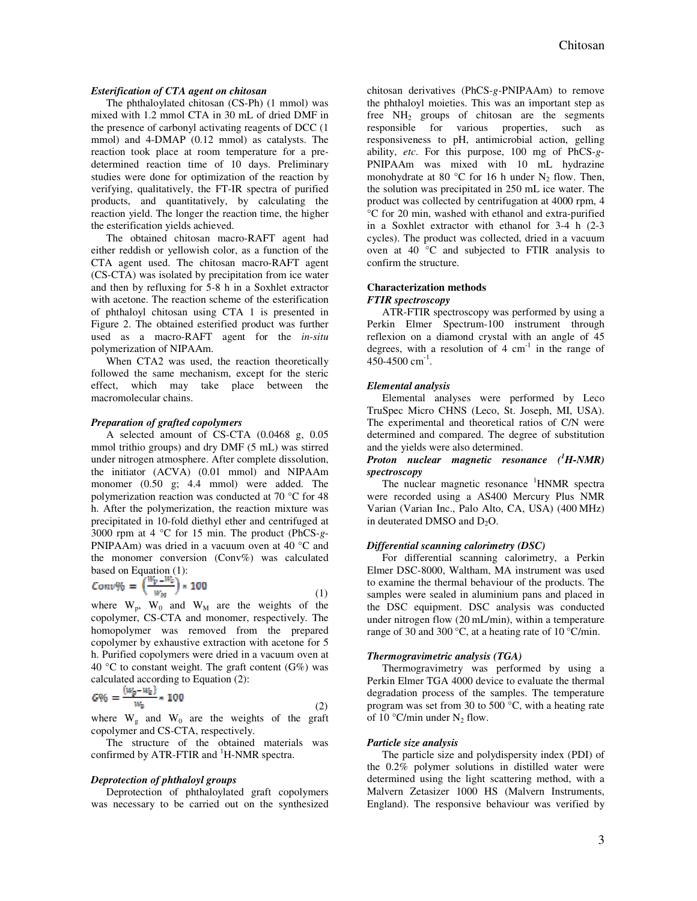## *Esterification of CTA agent on chitosan*

The phthaloylated chitosan (CS-Ph) (1 mmol) was mixed with 1.2 mmol CTA in 30 mL of dried DMF in the presence of carbonyl activating reagents of DCC (1 mmol) and 4-DMAP (0.12 mmol) as catalysts. The reaction took place at room temperature for a predetermined reaction time of 10 days. Preliminary studies were done for optimization of the reaction by verifying, qualitatively, the FT-IR spectra of purified products, and quantitatively, by calculating the reaction yield. The longer the reaction time, the higher the esterification yields achieved.

The obtained chitosan macro-RAFT agent had either reddish or yellowish color, as a function of the CTA agent used. The chitosan macro-RAFT agent (CS-CTA) was isolated by precipitation from ice water and then by refluxing for 5-8 h in a Soxhlet extractor with acetone. The reaction scheme of the esterification of phthaloyl chitosan using CTA 1 is presented in Figure 2. The obtained esterified product was further used as a macro-RAFT agent for the *in-situ* polymerization of NIPAAm.

When CTA2 was used, the reaction theoretically followed the same mechanism, except for the steric effect, which may take place between the macromolecular chains.

#### *Preparation of grafted copolymers*

A selected amount of CS-CTA (0.0468 g, 0.05 mmol trithio groups) and dry DMF (5 mL) was stirred under nitrogen atmosphere. After complete dissolution, the initiator (ACVA) (0.01 mmol) and NIPAAm monomer (0.50 g; 4.4 mmol) were added. The polymerization reaction was conducted at 70 °C for 48 h. After the polymerization, the reaction mixture was precipitated in 10-fold diethyl ether and centrifuged at 3000 rpm at 4 °C for 15 min. The product (PhCS-*g*-PNIPAAm) was dried in a vacuum oven at 40 °C and the monomer conversion (Conv%) was calculated based on Equation (1):

$$
Conv\% = \left(\frac{w_p - w_c}{w_M}\right) \times 100\tag{1}
$$

where  $W_p$ ,  $W_0$  and  $W_M$  are the weights of the copolymer, CS-CTA and monomer, respectively. The homopolymer was removed from the prepared copolymer by exhaustive extraction with acetone for 5 h. Purified copolymers were dried in a vacuum oven at 40 °C to constant weight. The graft content  $(G\%)$  was calculated according to Equation (2):

$$
G\% = \frac{(w_g - w_0)}{w_0} * 100
$$
\n(2)

where  $W_g$  and  $W_0$  are the weights of the graft copolymer and CS-CTA, respectively.

The structure of the obtained materials was confirmed by ATR-FTIR and  ${}^{1}$ H-NMR spectra.

#### *Deprotection of phthaloyl groups*

Deprotection of phthaloylated graft copolymers was necessary to be carried out on the synthesized chitosan derivatives (PhCS-*g*-PNIPAAm) to remove the phthaloyl moieties. This was an important step as free  $NH<sub>2</sub>$  groups of chitosan are the segments responsible for various properties, such as responsiveness to pH, antimicrobial action, gelling ability, *etc*. For this purpose, 100 mg of PhCS-*g*-PNIPAAm was mixed with 10 mL hydrazine monohydrate at 80  $\degree$ C for 16 h under N<sub>2</sub> flow. Then, the solution was precipitated in 250 mL ice water. The product was collected by centrifugation at 4000 rpm, 4 °C for 20 min, washed with ethanol and extra-purified in a Soxhlet extractor with ethanol for 3-4 h (2-3 cycles). The product was collected, dried in a vacuum oven at 40 °C and subjected to FTIR analysis to confirm the structure.

#### **Characterization methods**

## *FTIR spectroscopy*

ATR-FTIR spectroscopy was performed by using a Perkin Elmer Spectrum-100 instrument through reflexion on a diamond crystal with an angle of 45 degrees, with a resolution of  $4 \text{ cm}^{-1}$  in the range of  $450-4500$  cm<sup>-1</sup>.

#### *Elemental analysis*

Elemental analyses were performed by Leco TruSpec Micro CHNS (Leco, St. Joseph, MI, USA). The experimental and theoretical ratios of C/N were determined and compared. The degree of substitution and the yields were also determined.

## *Proton nuclear magnetic resonance (<sup>1</sup>H-NMR) spectroscopy*

The nuclear magnetic resonance  ${}^{1}$ HNMR spectra were recorded using a AS400 Mercury Plus NMR Varian (Varian Inc., Palo Alto, CA, USA) (400 MHz) in deuterated DMSO and  $D_2O$ .

#### *Differential scanning calorimetry (DSC)*

For differential scanning calorimetry, a Perkin Elmer DSC-8000, Waltham, MA instrument was used to examine the thermal behaviour of the products. The samples were sealed in aluminium pans and placed in the DSC equipment. DSC analysis was conducted under nitrogen flow (20 mL/min), within a temperature range of 30 and 300 °C, at a heating rate of 10 °C/min.

#### *Thermogravimetric analysis (TGA)*

Thermogravimetry was performed by using a Perkin Elmer TGA 4000 device to evaluate the thermal degradation process of the samples. The temperature program was set from 30 to 500 °C, with a heating rate of 10  $\degree$ C/min under N<sub>2</sub> flow.

#### *Particle size analysis*

The particle size and polydispersity index (PDI) of the 0.2% polymer solutions in distilled water were determined using the light scattering method, with a Malvern Zetasizer 1000 HS (Malvern Instruments, England). The responsive behaviour was verified by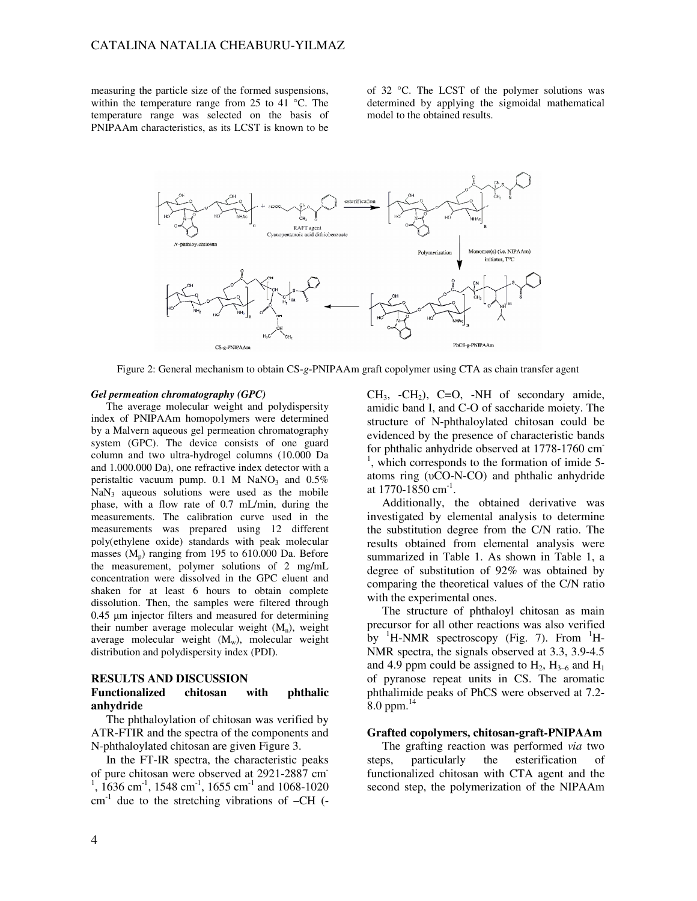measuring the particle size of the formed suspensions, within the temperature range from 25 to 41 °C. The temperature range was selected on the basis of PNIPAAm characteristics, as its LCST is known to be of 32 °C. The LCST of the polymer solutions was determined by applying the sigmoidal mathematical model to the obtained results.



Figure 2: General mechanism to obtain CS-*g*-PNIPAAm graft copolymer using CTA as chain transfer agent

### *Gel permeation chromatography (GPC)*

The average molecular weight and polydispersity index of PNIPAAm homopolymers were determined by a Malvern aqueous gel permeation chromatography system (GPC). The device consists of one guard column and two ultra-hydrogel columns (10.000 Da and 1.000.000 Da), one refractive index detector with a peristaltic vacuum pump.  $0.1$  M NaNO<sub>3</sub> and  $0.5\%$  $NaN<sub>3</sub>$  aqueous solutions were used as the mobile phase, with a flow rate of 0.7 mL/min, during the measurements. The calibration curve used in the measurements was prepared using 12 different poly(ethylene oxide) standards with peak molecular masses  $(M_p)$  ranging from 195 to 610.000 Da. Before the measurement, polymer solutions of 2 mg/mL concentration were dissolved in the GPC eluent and shaken for at least 6 hours to obtain complete dissolution. Then, the samples were filtered through 0.45 µm injector filters and measured for determining their number average molecular weight  $(M_n)$ , weight average molecular weight  $(M_w)$ , molecular weight distribution and polydispersity index (PDI).

#### **RESULTS AND DISCUSSION**

## **Functionalized chitosan with phthalic anhydride**

The phthaloylation of chitosan was verified by ATR-FTIR and the spectra of the components and N-phthaloylated chitosan are given Figure 3.

In the FT-IR spectra, the characteristic peaks of pure chitosan were observed at 2921-2887 cm-<sup>1</sup>, 1636 cm<sup>-1</sup>, 1548 cm<sup>-1</sup>, 1655 cm<sup>-1</sup> and 1068-1020  $cm<sup>-1</sup>$  due to the stretching vibrations of  $-CH$  (-

 $CH<sub>3</sub>$ ,  $-CH<sub>2</sub>$ ),  $C=O$ ,  $-NH$  of secondary amide, amidic band I, and C-O of saccharide moiety. The structure of N-phthaloylated chitosan could be evidenced by the presence of characteristic bands for phthalic anhydride observed at 1778-1760 cm<sup>-</sup> <sup>1</sup>, which corresponds to the formation of imide 5atoms ring (υCO-N-CO) and phthalic anhydride at 1770-1850 cm<sup>-1</sup>.

Additionally, the obtained derivative was investigated by elemental analysis to determine the substitution degree from the C/N ratio. The results obtained from elemental analysis were summarized in Table 1. As shown in Table 1, a degree of substitution of 92% was obtained by comparing the theoretical values of the C/N ratio with the experimental ones.

The structure of phthaloyl chitosan as main precursor for all other reactions was also verified by  ${}^{1}$ H-NMR spectroscopy (Fig. 7). From  ${}^{1}$ H-NMR spectra, the signals observed at 3.3, 3.9-4.5 and 4.9 ppm could be assigned to  $H_2$ ,  $H_{3-6}$  and  $H_1$ of pyranose repeat units in CS. The aromatic phthalimide peaks of PhCS were observed at 7.2- 8.0 ppm. $^{14}$ 

# **Grafted copolymers, chitosan-graft-PNIPAAm**

The grafting reaction was performed *via* two steps, particularly the esterification of functionalized chitosan with CTA agent and the second step, the polymerization of the NIPAAm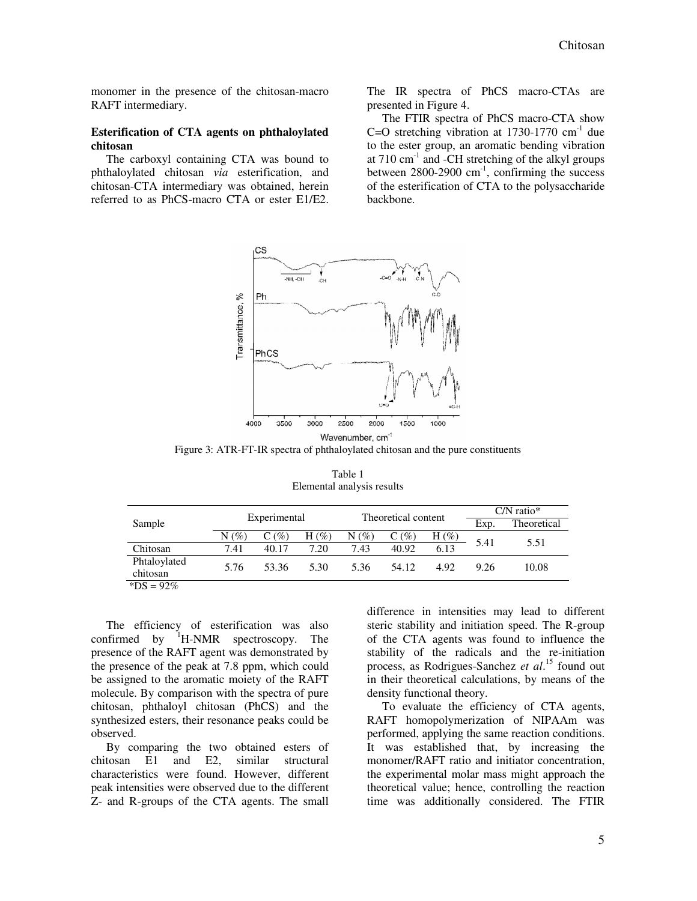monomer in the presence of the chitosan-macro RAFT intermediary.

# **Esterification of CTA agents on phthaloylated chitosan**

The carboxyl containing CTA was bound to phthaloylated chitosan *via* esterification, and chitosan-CTA intermediary was obtained, herein referred to as PhCS-macro CTA or ester E1/E2. The IR spectra of PhCS macro-CTAs are presented in Figure 4.

The FTIR spectra of PhCS macro-CTA show C=O stretching vibration at  $1730-1770$  cm<sup>-1</sup> due to the ester group, an aromatic bending vibration at  $710 \text{ cm}^{-1}$  and -CH stretching of the alkyl groups between  $2800-2900$  cm<sup>-1</sup>, confirming the success of the esterification of CTA to the polysaccharide backbone.



Figure 3: ATR-FT-IR spectra of phthaloylated chitosan and the pure constituents

| Sample                            | Experimental |       |          | Theoretical content |         |         | $CN$ ratio* |             |
|-----------------------------------|--------------|-------|----------|---------------------|---------|---------|-------------|-------------|
|                                   |              |       |          |                     |         |         | Exp.        | Theoretical |
|                                   | $N(\%)$      | C(%)  | H $(\%)$ | (%)<br>N            | $C(\%)$ | $H(\%)$ | 5.41        | 5.51        |
| Chitosan                          | 7.41         | 40.17 | 7.20     | 7.43                | 40.92   | 6.13    |             |             |
| Phtaloylated                      |              | 53.36 | 5.30     |                     | 54.12   | 4.92    | 9.26        | 10.08       |
| chitosan                          | 5.76         |       |          | 5.36                |         |         |             |             |
| $*n$ $\alpha$<br>0.2 <sub>m</sub> |              |       |          |                     |         |         |             |             |

Table 1 Elemental analysis results

 $8^{*}DS = 92\%$ 

The efficiency of esterification was also confirmed by  $H-MR$  spectroscopy. The presence of the RAFT agent was demonstrated by the presence of the peak at 7.8 ppm, which could be assigned to the aromatic moiety of the RAFT molecule. By comparison with the spectra of pure chitosan, phthaloyl chitosan (PhCS) and the synthesized esters, their resonance peaks could be observed.

By comparing the two obtained esters of chitosan E1 and E2, similar structural characteristics were found. However, different peak intensities were observed due to the different Z- and R-groups of the CTA agents. The small

difference in intensities may lead to different steric stability and initiation speed. The R-group of the CTA agents was found to influence the stability of the radicals and the re-initiation process, as Rodrigues-Sanchez *et al*. <sup>15</sup> found out in their theoretical calculations, by means of the density functional theory.

To evaluate the efficiency of CTA agents, RAFT homopolymerization of NIPAAm was performed, applying the same reaction conditions. It was established that, by increasing the monomer/RAFT ratio and initiator concentration, the experimental molar mass might approach the theoretical value; hence, controlling the reaction time was additionally considered. The FTIR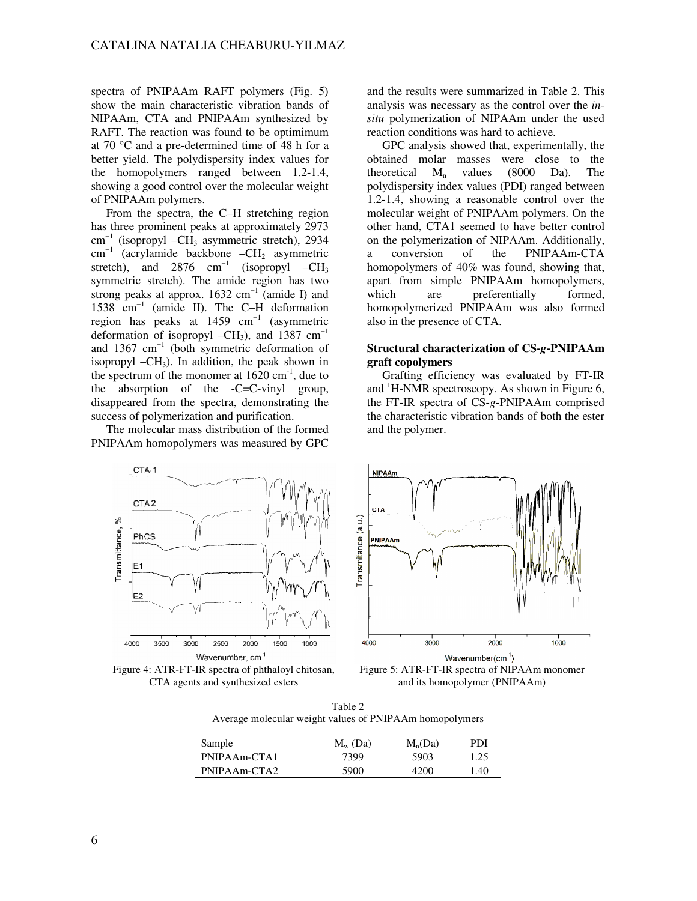spectra of PNIPAAm RAFT polymers (Fig. 5) show the main characteristic vibration bands of NIPAAm, CTA and PNIPAAm synthesized by RAFT. The reaction was found to be optimimum at 70 °C and a pre-determined time of 48 h for a better yield. The polydispersity index values for the homopolymers ranged between 1.2-1.4, showing a good control over the molecular weight of PNIPAAm polymers.

From the spectra, the C–H stretching region has three prominent peaks at approximately 2973  $cm^{-1}$  (isopropyl –CH<sub>3</sub> asymmetric stretch), 2934  $cm^{-1}$  (acrylamide backbone  $-CH_2$  asymmetric stretch), and 2876 cm<sup>-1</sup> (isopropyl –CH<sub>3</sub> symmetric stretch). The amide region has two strong peaks at approx.  $1632 \text{ cm}^{-1}$  (amide I) and 1538 cm−1 (amide II). The C–H deformation region has peaks at  $1459 \text{ cm}^{-1}$  (asymmetric deformation of isopropyl –CH<sub>3</sub>), and 1387 cm<sup>-1</sup> and 1367  $cm^{-1}$  (both symmetric deformation of isopropyl  $-CH_3$ ). In addition, the peak shown in the spectrum of the monomer at  $1620 \text{ cm}^{-1}$ , due to the absorption of the -C=C-vinyl group, disappeared from the spectra, demonstrating the success of polymerization and purification.

The molecular mass distribution of the formed PNIPAAm homopolymers was measured by GPC and the results were summarized in Table 2. This analysis was necessary as the control over the *insitu* polymerization of NIPAAm under the used reaction conditions was hard to achieve.

GPC analysis showed that, experimentally, the obtained molar masses were close to the theoretical  $M_n$  values (8000 Da). The polydispersity index values (PDI) ranged between 1.2-1.4, showing a reasonable control over the molecular weight of PNIPAAm polymers. On the other hand, CTA1 seemed to have better control on the polymerization of NIPAAm. Additionally, a conversion of the PNIPAAm-CTA homopolymers of 40% was found, showing that, apart from simple PNIPAAm homopolymers, which are preferentially formed, homopolymerized PNIPAAm was also formed also in the presence of CTA.

# **Structural characterization of CS-***g***-PNIPAAm graft copolymers**

Grafting efficiency was evaluated by FT-IR and  ${}^{1}$ H-NMR spectroscopy. As shown in Figure 6, the FT-IR spectra of CS-*g*-PNIPAAm comprised the characteristic vibration bands of both the ester and the polymer.



Figure 4: ATR-FT-IR spectra of phthaloyl chitosan, CTA agents and synthesized esters



Figure 5: ATR-FT-IR spectra of NIPAAm monomer and its homopolymer (PNIPAAm)

Table 2 Average molecular weight values of PNIPAAm homopolymers

| Sample       | $M_{\rm w}$ (Da) | $M_n(Da)$ | PDI  |
|--------------|------------------|-----------|------|
| PNIPAAm-CTA1 | 7399             | 5903      | 1.25 |
| PNIPAAm-CTA2 | 5900             | 4200      | 1.40 |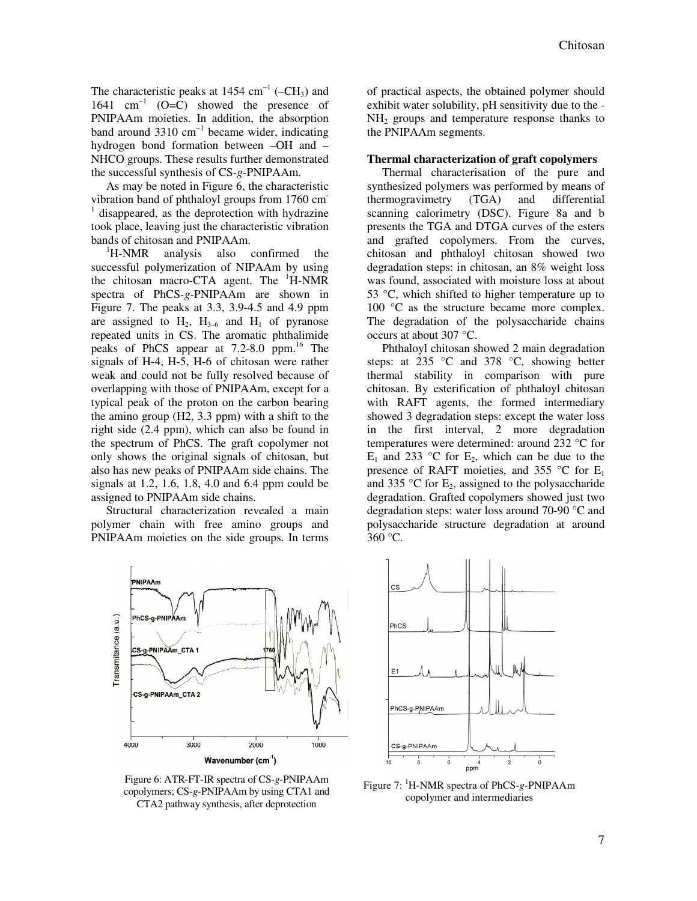The characteristic peaks at 1454  $cm^{-1}$  (–CH<sub>3</sub>) and 1641 cm−1 (O=C) showed the presence of PNIPAAm moieties. In addition, the absorption band around 3310 cm−1 became wider, indicating hydrogen bond formation between –OH and – NHCO groups. These results further demonstrated the successful synthesis of CS*-g-*PNIPAAm.

As may be noted in Figure 6, the characteristic vibration band of phthaloyl groups from 1760 cm<sup>-</sup> <sup>1</sup> disappeared, as the deprotection with hydrazine took place, leaving just the characteristic vibration bands of chitosan and PNIPAAm.

<sup>1</sup>H-NMR analysis also confirmed the successful polymerization of NIPAAm by using the chitosan macro-CTA agent. The  ${}^{1}$ H-NMR spectra of PhCS*-g-*PNIPAAm are shown in Figure 7. The peaks at 3.3, 3.9-4.5 and 4.9 ppm are assigned to  $H_2$ ,  $H_{3-6}$  and  $H_1$  of pyranose repeated units in CS. The aromatic phthalimide peaks of PhCS appear at 7.2-8.0 ppm.<sup>16</sup> The signals of H-4, H-5, H-6 of chitosan were rather weak and could not be fully resolved because of overlapping with those of PNIPAAm, except for a typical peak of the proton on the carbon bearing the amino group (H2, 3.3 ppm) with a shift to the right side (2.4 ppm), which can also be found in the spectrum of PhCS. The graft copolymer not only shows the original signals of chitosan, but also has new peaks of PNIPAAm side chains. The signals at 1.2, 1.6, 1.8, 4.0 and 6.4 ppm could be assigned to PNIPAAm side chains.

Structural characterization revealed a main polymer chain with free amino groups and PNIPAAm moieties on the side groups. In terms

**PNIPAAm** Transmitance (a.u.) PhCS-g-PNIPAAm CS-g-PNIPAAm\_CTA 1 CS-g-PNIPAAm\_CTA 2 3000 2000 4000 1000 Wavenumber (cm<sup>-1</sup>)

Figure 6: ATR-FT-IR spectra of CS*-g-*PNIPAAm copolymers; CS*-g-*PNIPAAm by using CTA1 and CTA2 pathway synthesis, after deprotection

of practical aspects, the obtained polymer should exhibit water solubility, pH sensitivity due to the -  $NH<sub>2</sub>$  groups and temperature response thanks to the PNIPAAm segments.

## **Thermal characterization of graft copolymers**

Thermal characterisation of the pure and synthesized polymers was performed by means of thermogravimetry (TGA) and differential scanning calorimetry (DSC). Figure 8a and b presents the TGA and DTGA curves of the esters and grafted copolymers. From the curves, chitosan and phthaloyl chitosan showed two degradation steps: in chitosan, an 8% weight loss was found, associated with moisture loss at about 53 °C, which shifted to higher temperature up to 100 °C as the structure became more complex. The degradation of the polysaccharide chains occurs at about 307 °C.

Phthaloyl chitosan showed 2 main degradation steps: at 235 °C and 378 °C, showing better thermal stability in comparison with pure chitosan. By esterification of phthaloyl chitosan with RAFT agents, the formed intermediary showed 3 degradation steps: except the water loss in the first interval, 2 more degradation temperatures were determined: around 232 °C for  $E_1$  and 233 °C for  $E_2$ , which can be due to the presence of RAFT moieties, and 355 °C for  $E_1$ and 335 °C for  $E_2$ , assigned to the polysaccharide degradation. Grafted copolymers showed just two degradation steps: water loss around 70-90 °C and polysaccharide structure degradation at around 360 °C.



Figure 7: <sup>1</sup>H-NMR spectra of PhCS*-g-*PNIPAAm copolymer and intermediaries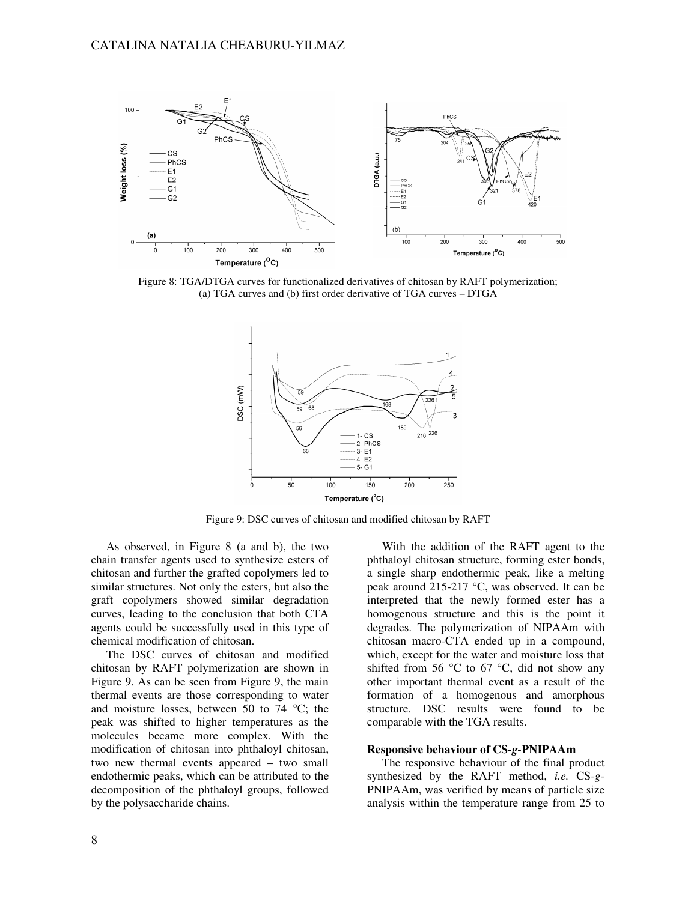

Figure 8: TGA/DTGA curves for functionalized derivatives of chitosan by RAFT polymerization; (a) TGA curves and (b) first order derivative of TGA curves – DTGA



Figure 9: DSC curves of chitosan and modified chitosan by RAFT

As observed, in Figure 8 (a and b), the two chain transfer agents used to synthesize esters of chitosan and further the grafted copolymers led to similar structures. Not only the esters, but also the graft copolymers showed similar degradation curves, leading to the conclusion that both CTA agents could be successfully used in this type of chemical modification of chitosan.

The DSC curves of chitosan and modified chitosan by RAFT polymerization are shown in Figure 9. As can be seen from Figure 9, the main thermal events are those corresponding to water and moisture losses, between 50 to 74  $^{\circ}$ C; the peak was shifted to higher temperatures as the molecules became more complex. With the modification of chitosan into phthaloyl chitosan, two new thermal events appeared – two small endothermic peaks, which can be attributed to the decomposition of the phthaloyl groups, followed by the polysaccharide chains.

With the addition of the RAFT agent to the phthaloyl chitosan structure, forming ester bonds, a single sharp endothermic peak, like a melting peak around 215-217 °C, was observed. It can be interpreted that the newly formed ester has a homogenous structure and this is the point it degrades. The polymerization of NIPAAm with chitosan macro-CTA ended up in a compound, which, except for the water and moisture loss that shifted from 56  $\degree$ C to 67  $\degree$ C, did not show any other important thermal event as a result of the formation of a homogenous and amorphous structure. DSC results were found to be comparable with the TGA results.

## **Responsive behaviour of CS***-g-***PNIPAAm**

The responsive behaviour of the final product synthesized by the RAFT method, *i.e.* CS-*g*-PNIPAAm, was verified by means of particle size analysis within the temperature range from 25 to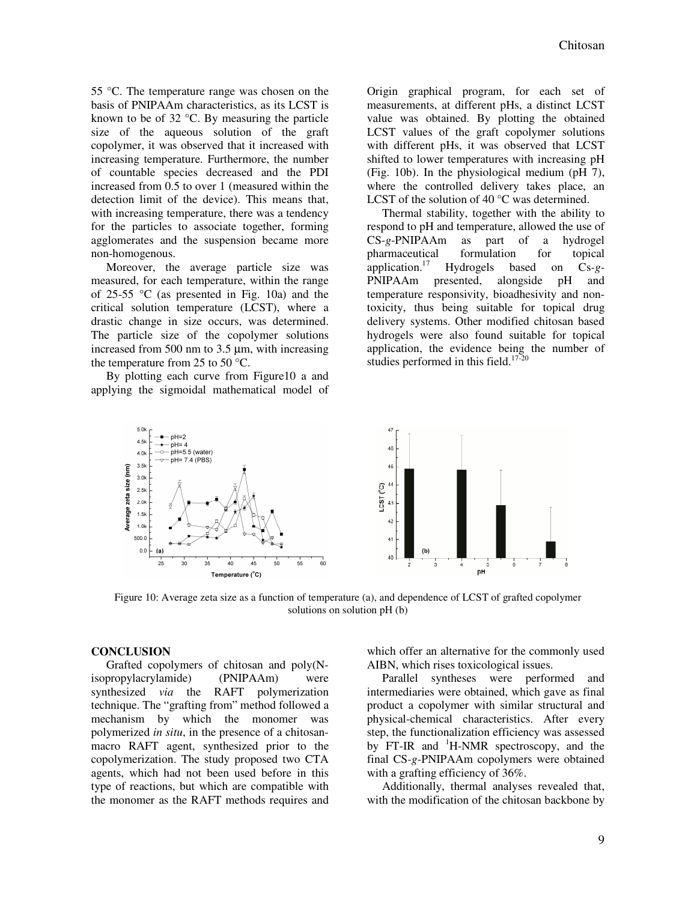55 °C. The temperature range was chosen on the basis of PNIPAAm characteristics, as its LCST is known to be of 32 °C. By measuring the particle size of the aqueous solution of the graft copolymer, it was observed that it increased with increasing temperature. Furthermore, the number of countable species decreased and the PDI increased from 0.5 to over 1 (measured within the detection limit of the device). This means that, with increasing temperature, there was a tendency for the particles to associate together, forming agglomerates and the suspension became more non-homogenous.

Moreover, the average particle size was measured, for each temperature, within the range of 25-55 °C (as presented in Fig. 10a) and the critical solution temperature (LCST), where a drastic change in size occurs, was determined. The particle size of the copolymer solutions increased from 500 nm to 3.5 µm, with increasing the temperature from 25 to 50 °C.

By plotting each curve from Figure10 a and applying the sigmoidal mathematical model of Origin graphical program, for each set of measurements, at different pHs, a distinct LCST value was obtained. By plotting the obtained LCST values of the graft copolymer solutions with different pHs, it was observed that LCST shifted to lower temperatures with increasing pH (Fig. 10b). In the physiological medium (pH 7), where the controlled delivery takes place, an LCST of the solution of 40 °C was determined.

Thermal stability, together with the ability to respond to pH and temperature, allowed the use of CS-*g*-PNIPAAm as part of a hydrogel pharmaceutical formulation for topical application.<sup>17</sup> Hydrogels based on Cs*-g-*PNIPAAm presented, alongside pH and temperature responsivity, bioadhesivity and nontoxicity, thus being suitable for topical drug delivery systems. Other modified chitosan based hydrogels were also found suitable for topical application, the evidence being the number of studies performed in this field. $17$ -



Figure 10: Average zeta size as a function of temperature (a), and dependence of LCST of grafted copolymer solutions on solution pH (b)

# **CONCLUSION**

Grafted copolymers of chitosan and poly(Nisopropylacrylamide) (PNIPAAm) were synthesized *via* the RAFT polymerization technique. The "grafting from" method followed a mechanism by which the monomer was polymerized *in situ*, in the presence of a chitosanmacro RAFT agent, synthesized prior to the copolymerization. The study proposed two CTA agents, which had not been used before in this type of reactions, but which are compatible with the monomer as the RAFT methods requires and which offer an alternative for the commonly used AIBN, which rises toxicological issues.

Parallel syntheses were performed and intermediaries were obtained, which gave as final product a copolymer with similar structural and physical-chemical characteristics. After every step, the functionalization efficiency was assessed by FT-IR and  $H-MR$  spectroscopy, and the final CS*-g-*PNIPAAm copolymers were obtained with a grafting efficiency of 36%.

Additionally, thermal analyses revealed that, with the modification of the chitosan backbone by